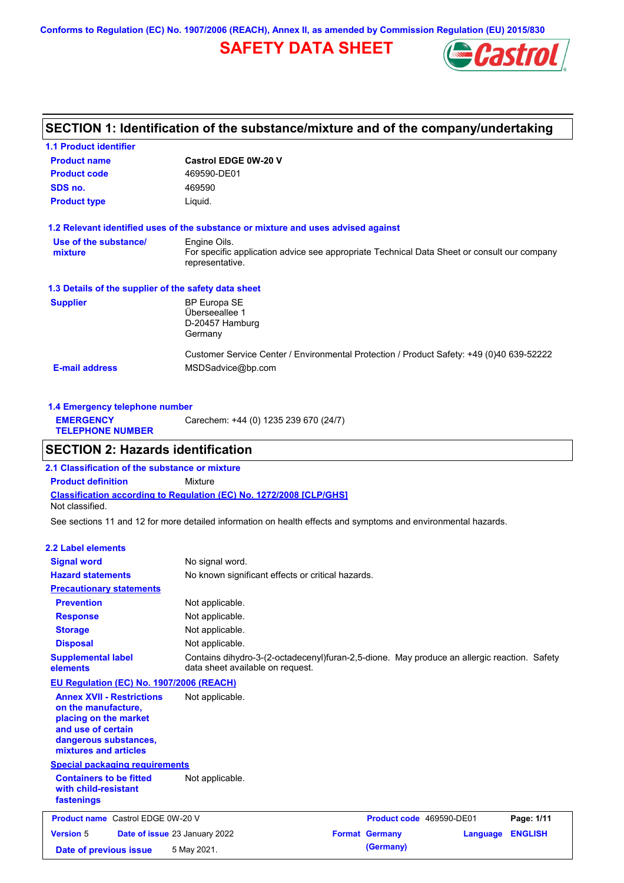**Conforms to Regulation (EC) No. 1907/2006 (REACH), Annex II, as amended by Commission Regulation (EU) 2015/830**

## **SAFETY DATA SHEET**



## **SECTION 1: Identification of the substance/mixture and of the company/undertaking**

| <b>1.1 Product identifier</b>                        |                                                                                                                |
|------------------------------------------------------|----------------------------------------------------------------------------------------------------------------|
| <b>Product name</b>                                  | <b>Castrol EDGE 0W-20 V</b>                                                                                    |
| <b>Product code</b>                                  | 469590-DE01                                                                                                    |
| SDS no.                                              | 469590                                                                                                         |
| <b>Product type</b>                                  | Liquid.                                                                                                        |
|                                                      | 1.2 Relevant identified uses of the substance or mixture and uses advised against                              |
| Use of the substance/                                | Engine Oils.                                                                                                   |
| mixture                                              | For specific application advice see appropriate Technical Data Sheet or consult our company<br>representative. |
| 1.3 Details of the supplier of the safety data sheet |                                                                                                                |
| <b>Supplier</b>                                      | <b>BP Europa SE</b>                                                                                            |
|                                                      | Überseeallee 1                                                                                                 |
|                                                      | D-20457 Hamburg                                                                                                |
|                                                      | Germany                                                                                                        |
|                                                      | Customer Service Center / Environmental Protection / Product Safety: +49 (0)40 639-52222                       |
| <b>E-mail address</b>                                | MSDSadvice@bp.com                                                                                              |
|                                                      |                                                                                                                |

| 1.4 Emergency telephone number              |                                       |  |  |
|---------------------------------------------|---------------------------------------|--|--|
| <b>EMERGENCY</b><br><b>TELEPHONE NUMBER</b> | Carechem: +44 (0) 1235 239 670 (24/7) |  |  |

## **SECTION 2: Hazards identification**

**Classification according to Regulation (EC) No. 1272/2008 [CLP/GHS] 2.1 Classification of the substance or mixture Product definition** Mixture Not classified.

See sections 11 and 12 for more detailed information on health effects and symptoms and environmental hazards.

### **2.2 Label elements**

| <b>Signal word</b><br><b>Hazard statements</b>                                                                                                           | No signal word.<br>No known significant effects or critical hazards.                                                            |                                   |                |
|----------------------------------------------------------------------------------------------------------------------------------------------------------|---------------------------------------------------------------------------------------------------------------------------------|-----------------------------------|----------------|
| <b>Precautionary statements</b>                                                                                                                          |                                                                                                                                 |                                   |                |
| <b>Prevention</b>                                                                                                                                        | Not applicable.                                                                                                                 |                                   |                |
| <b>Response</b>                                                                                                                                          | Not applicable.                                                                                                                 |                                   |                |
| <b>Storage</b>                                                                                                                                           | Not applicable.                                                                                                                 |                                   |                |
| <b>Disposal</b>                                                                                                                                          | Not applicable.                                                                                                                 |                                   |                |
| <b>Supplemental label</b><br>elements                                                                                                                    | Contains dihydro-3-(2-octadecenyl)furan-2,5-dione. May produce an allergic reaction. Safety<br>data sheet available on request. |                                   |                |
| EU Regulation (EC) No. 1907/2006 (REACH)                                                                                                                 |                                                                                                                                 |                                   |                |
| <b>Annex XVII - Restrictions</b><br>on the manufacture,<br>placing on the market<br>and use of certain<br>dangerous substances,<br>mixtures and articles | Not applicable.                                                                                                                 |                                   |                |
| <b>Special packaging requirements</b>                                                                                                                    |                                                                                                                                 |                                   |                |
| <b>Containers to be fitted</b><br>with child-resistant<br>fastenings                                                                                     | Not applicable.                                                                                                                 |                                   |                |
| <b>Product name</b> Castrol EDGE 0W-20 V                                                                                                                 |                                                                                                                                 | Product code 469590-DE01          | Page: 1/11     |
| <b>Version 5</b>                                                                                                                                         | Date of issue 23 January 2022                                                                                                   | <b>Format Germany</b><br>Language | <b>ENGLISH</b> |
| Date of previous issue                                                                                                                                   | 5 May 2021.                                                                                                                     | (Germany)                         |                |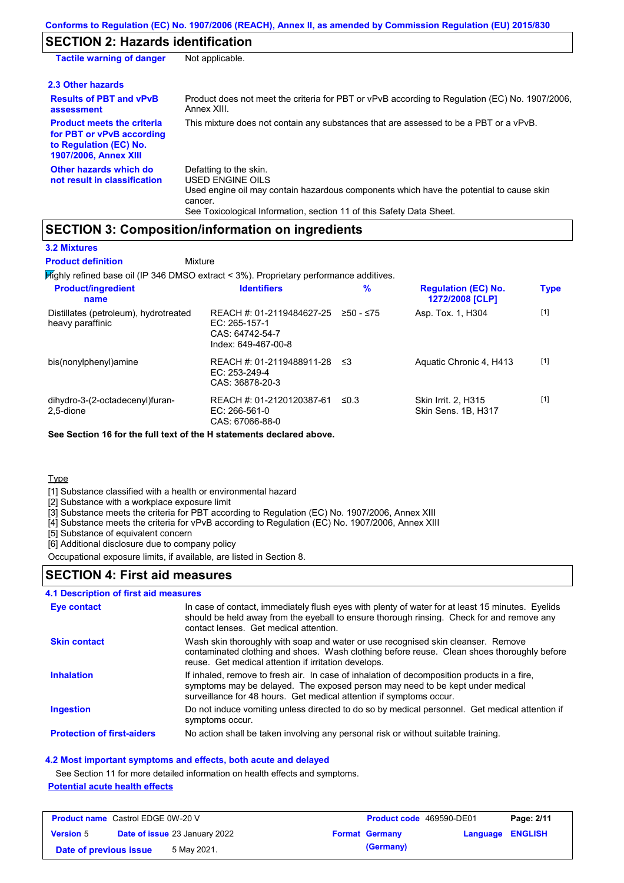# **SECTION 2: Hazards identification**

| <b>Tactile warning of danger</b>                                                                                         | Not applicable.                                                                                                                                                                                                                 |
|--------------------------------------------------------------------------------------------------------------------------|---------------------------------------------------------------------------------------------------------------------------------------------------------------------------------------------------------------------------------|
| 2.3 Other hazards                                                                                                        |                                                                                                                                                                                                                                 |
| <b>Results of PBT and vPvB</b><br>assessment                                                                             | Product does not meet the criteria for PBT or vPvB according to Regulation (EC) No. 1907/2006,<br>Annex XIII.                                                                                                                   |
| <b>Product meets the criteria</b><br>for PBT or vPvB according<br>to Regulation (EC) No.<br><b>1907/2006, Annex XIII</b> | This mixture does not contain any substances that are assessed to be a PBT or a vPvB.                                                                                                                                           |
| Other hazards which do<br>not result in classification                                                                   | Defatting to the skin.<br><b>USED ENGINE OILS</b><br>Used engine oil may contain hazardous components which have the potential to cause skin<br>cancer.<br>See Toxicological Information, section 11 of this Safety Data Sheet. |

## **SECTION 3: Composition/information on ingredients**

| <b>3.2 Mixtures</b> |  |  |  |
|---------------------|--|--|--|
|                     |  |  |  |

Highly refined base oil (IP 346 DMSO extract < 3%). Proprietary performance additives. **Mixture Product definition**

| <b>Product/ingredient</b><br>name                         | <b>Identifiers</b>                                                                   | $\%$      | <b>Regulation (EC) No.</b><br>1272/2008 [CLP] | <b>Type</b> |
|-----------------------------------------------------------|--------------------------------------------------------------------------------------|-----------|-----------------------------------------------|-------------|
| Distillates (petroleum), hydrotreated<br>heavy paraffinic | REACH #: 01-2119484627-25<br>EC: 265-157-1<br>CAS: 64742-54-7<br>Index: 649-467-00-8 | ≥50 - ≤75 | Asp. Tox. 1, H304                             | $[1]$       |
| bis(nonylphenyl)amine                                     | REACH #: 01-2119488911-28<br>EC: $253-249-4$<br>CAS: 36878-20-3                      | -≤3       | Aquatic Chronic 4, H413                       | $[1]$       |
| dihydro-3-(2-octadecenyl)furan-<br>2.5-dione              | REACH #: 01-2120120387-61<br>$EC: 266-561-0$<br>CAS: 67066-88-0                      | ≤0.3      | Skin Irrit. 2, H315<br>Skin Sens. 1B, H317    | $[1]$       |

**See Section 16 for the full text of the H statements declared above.**

**Type** 

[1] Substance classified with a health or environmental hazard

[2] Substance with a workplace exposure limit

[3] Substance meets the criteria for PBT according to Regulation (EC) No. 1907/2006, Annex XIII

[4] Substance meets the criteria for vPvB according to Regulation (EC) No. 1907/2006, Annex XIII

[5] Substance of equivalent concern

[6] Additional disclosure due to company policy

Occupational exposure limits, if available, are listed in Section 8.

### **SECTION 4: First aid measures**

### **4.1 Description of first aid measures**

| Eye contact                       | In case of contact, immediately flush eyes with plenty of water for at least 15 minutes. Eyelids<br>should be held away from the eyeball to ensure thorough rinsing. Check for and remove any<br>contact lenses. Get medical attention.             |
|-----------------------------------|-----------------------------------------------------------------------------------------------------------------------------------------------------------------------------------------------------------------------------------------------------|
| <b>Skin contact</b>               | Wash skin thoroughly with soap and water or use recognised skin cleanser. Remove<br>contaminated clothing and shoes. Wash clothing before reuse. Clean shoes thoroughly before<br>reuse. Get medical attention if irritation develops.              |
| <b>Inhalation</b>                 | If inhaled, remove to fresh air. In case of inhalation of decomposition products in a fire,<br>symptoms may be delayed. The exposed person may need to be kept under medical<br>surveillance for 48 hours. Get medical attention if symptoms occur. |
| <b>Ingestion</b>                  | Do not induce vomiting unless directed to do so by medical personnel. Get medical attention if<br>symptoms occur.                                                                                                                                   |
| <b>Protection of first-aiders</b> | No action shall be taken involving any personal risk or without suitable training.                                                                                                                                                                  |

### **4.2 Most important symptoms and effects, both acute and delayed**

See Section 11 for more detailed information on health effects and symptoms.

### **Potential acute health effects**

| <b>Product name</b> Castrol EDGE 0W-20 V |  | <b>Product code</b> 469590-DE01      |  | Page: 2/11            |                         |  |
|------------------------------------------|--|--------------------------------------|--|-----------------------|-------------------------|--|
| <b>Version 5</b>                         |  | <b>Date of issue 23 January 2022</b> |  | <b>Format Germany</b> | <b>Language ENGLISH</b> |  |
| Date of previous issue                   |  | 5 May 2021.                          |  | (Germany)             |                         |  |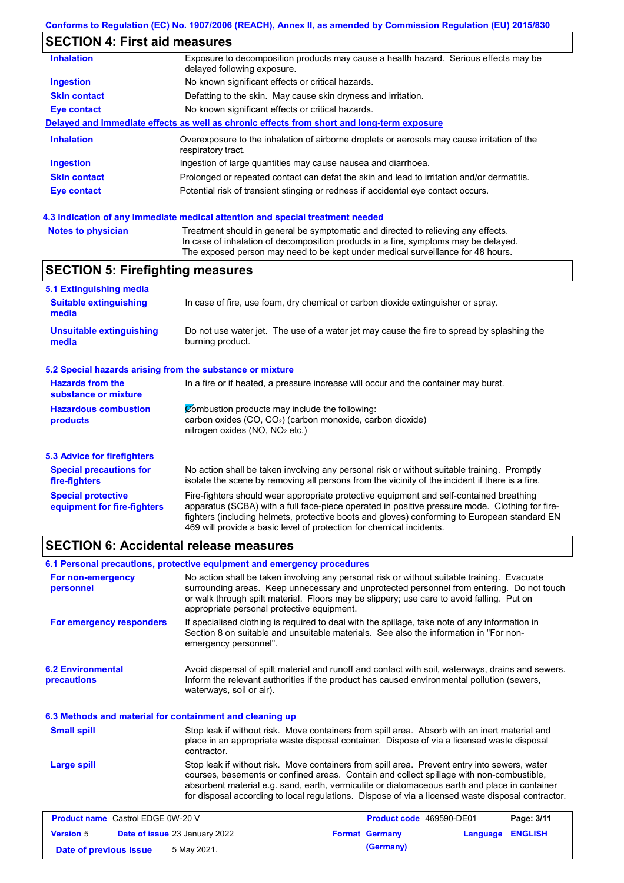# **SECTION 4: First aid measures**

| <b>Inhalation</b>   | Exposure to decomposition products may cause a health hazard. Serious effects may be<br>delayed following exposure. |
|---------------------|---------------------------------------------------------------------------------------------------------------------|
| <b>Ingestion</b>    | No known significant effects or critical hazards.                                                                   |
| <b>Skin contact</b> | Defatting to the skin. May cause skin dryness and irritation.                                                       |
| Eye contact         | No known significant effects or critical hazards.                                                                   |
|                     | Delayed and immediate effects as well as chronic effects from short and long-term exposure                          |
| <b>Inhalation</b>   | Overexposure to the inhalation of airborne droplets or aerosols may cause irritation of the<br>respiratory tract.   |
| <b>Ingestion</b>    | Ingestion of large quantities may cause nausea and diarrhoea.                                                       |
| <b>Skin contact</b> | Prolonged or repeated contact can defat the skin and lead to irritation and/or dermatitis.                          |
| Eye contact         | Potential risk of transient stinging or redness if accidental eye contact occurs.                                   |
|                     |                                                                                                                     |

### **4.3 Indication of any immediate medical attention and special treatment needed**

| <b>Notes to physician</b> | Treatment should in general be symptomatic and directed to relieving any effects.   |
|---------------------------|-------------------------------------------------------------------------------------|
|                           | In case of inhalation of decomposition products in a fire, symptoms may be delayed. |
|                           | The exposed person may need to be kept under medical surveillance for 48 hours.     |

## **SECTION 5: Firefighting measures**

| 5.1 Extinguishing media                                   |                                                                                                                                                                                                                                                                                                                                                                   |  |
|-----------------------------------------------------------|-------------------------------------------------------------------------------------------------------------------------------------------------------------------------------------------------------------------------------------------------------------------------------------------------------------------------------------------------------------------|--|
| <b>Suitable extinguishing</b><br>media                    | In case of fire, use foam, dry chemical or carbon dioxide extinguisher or spray.                                                                                                                                                                                                                                                                                  |  |
| <b>Unsuitable extinguishing</b><br>media                  | Do not use water jet. The use of a water jet may cause the fire to spread by splashing the<br>burning product.                                                                                                                                                                                                                                                    |  |
| 5.2 Special hazards arising from the substance or mixture |                                                                                                                                                                                                                                                                                                                                                                   |  |
| <b>Hazards from the</b><br>substance or mixture           | In a fire or if heated, a pressure increase will occur and the container may burst.                                                                                                                                                                                                                                                                               |  |
| <b>Hazardous combustion</b><br>products                   | Combustion products may include the following:<br>carbon oxides $(CO, CO2)$ (carbon monoxide, carbon dioxide)<br>nitrogen oxides ( $NO$ , $NO2$ etc.)                                                                                                                                                                                                             |  |
| 5.3 Advice for firefighters                               |                                                                                                                                                                                                                                                                                                                                                                   |  |
| <b>Special precautions for</b><br>fire-fighters           | No action shall be taken involving any personal risk or without suitable training. Promptly<br>isolate the scene by removing all persons from the vicinity of the incident if there is a fire.                                                                                                                                                                    |  |
| <b>Special protective</b><br>equipment for fire-fighters  | Fire-fighters should wear appropriate protective equipment and self-contained breathing<br>apparatus (SCBA) with a full face-piece operated in positive pressure mode. Clothing for fire-<br>fighters (including helmets, protective boots and gloves) conforming to European standard EN<br>469 will provide a basic level of protection for chemical incidents. |  |

### **SECTION 6: Accidental release measures**

|                                                          | 6.1 Personal precautions, protective equipment and emergency procedures                                                                                                                                                                                                                                                                                                                        |                                                                                                                                                                                                                                                                                       |            |  |  |
|----------------------------------------------------------|------------------------------------------------------------------------------------------------------------------------------------------------------------------------------------------------------------------------------------------------------------------------------------------------------------------------------------------------------------------------------------------------|---------------------------------------------------------------------------------------------------------------------------------------------------------------------------------------------------------------------------------------------------------------------------------------|------------|--|--|
| For non-emergency<br>personnel                           | appropriate personal protective equipment.                                                                                                                                                                                                                                                                                                                                                     | No action shall be taken involving any personal risk or without suitable training. Evacuate<br>surrounding areas. Keep unnecessary and unprotected personnel from entering. Do not touch<br>or walk through spilt material. Floors may be slippery; use care to avoid falling. Put on |            |  |  |
| For emergency responders                                 | emergency personnel".                                                                                                                                                                                                                                                                                                                                                                          | If specialised clothing is required to deal with the spillage, take note of any information in<br>Section 8 on suitable and unsuitable materials. See also the information in "For non-                                                                                               |            |  |  |
| <b>6.2 Environmental</b><br>precautions                  | waterways, soil or air).                                                                                                                                                                                                                                                                                                                                                                       | Avoid dispersal of spilt material and runoff and contact with soil, waterways, drains and sewers.<br>Inform the relevant authorities if the product has caused environmental pollution (sewers,                                                                                       |            |  |  |
| 6.3 Methods and material for containment and cleaning up |                                                                                                                                                                                                                                                                                                                                                                                                |                                                                                                                                                                                                                                                                                       |            |  |  |
| <b>Small spill</b>                                       | contractor.                                                                                                                                                                                                                                                                                                                                                                                    | Stop leak if without risk. Move containers from spill area. Absorb with an inert material and<br>place in an appropriate waste disposal container. Dispose of via a licensed waste disposal                                                                                           |            |  |  |
| Large spill                                              | Stop leak if without risk. Move containers from spill area. Prevent entry into sewers, water<br>courses, basements or confined areas. Contain and collect spillage with non-combustible,<br>absorbent material e.g. sand, earth, vermiculite or diatomaceous earth and place in container<br>for disposal according to local regulations. Dispose of via a licensed waste disposal contractor. |                                                                                                                                                                                                                                                                                       |            |  |  |
| <b>Product name</b> Castrol EDGE 0W-20 V                 |                                                                                                                                                                                                                                                                                                                                                                                                | Product code 469590-DE01                                                                                                                                                                                                                                                              | Page: 3/11 |  |  |

| <b>Version 5</b>       | <b>Date of issue 23 January 2022</b> | <b>Format Germany</b> | <b>Language ENGLISH</b> |  |
|------------------------|--------------------------------------|-----------------------|-------------------------|--|
| Date of previous issue | 5 May 2021.                          | (Germany)             |                         |  |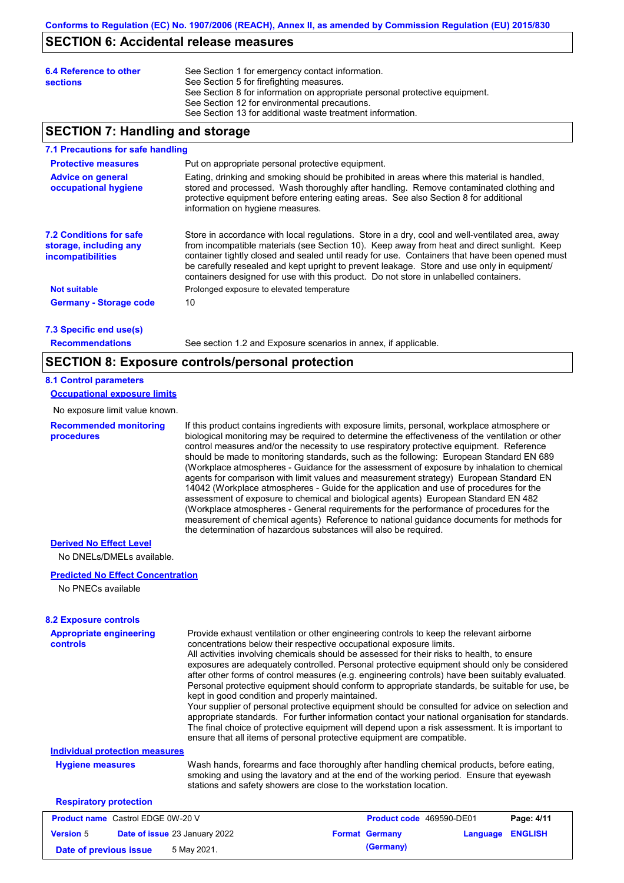### **SECTION 6: Accidental release measures**

| 6.4 Reference to other<br><b>sections</b> | See Section 1 for emergency contact information.<br>See Section 5 for firefighting measures.<br>See Section 8 for information on appropriate personal protective equipment.<br>See Section 12 for environmental precautions. |
|-------------------------------------------|------------------------------------------------------------------------------------------------------------------------------------------------------------------------------------------------------------------------------|
|                                           | See Section 13 for additional waste treatment information.                                                                                                                                                                   |

### **SECTION 7: Handling and storage**

#### **7.1 Precautions for safe handling**

| Put on appropriate personal protective equipment.                                                                                                                                                                                                                                                                                                                                                                                                                                        |
|------------------------------------------------------------------------------------------------------------------------------------------------------------------------------------------------------------------------------------------------------------------------------------------------------------------------------------------------------------------------------------------------------------------------------------------------------------------------------------------|
| Eating, drinking and smoking should be prohibited in areas where this material is handled,<br>stored and processed. Wash thoroughly after handling. Remove contaminated clothing and<br>protective equipment before entering eating areas. See also Section 8 for additional<br>information on hygiene measures.                                                                                                                                                                         |
| Store in accordance with local regulations. Store in a dry, cool and well-ventilated area, away<br>from incompatible materials (see Section 10). Keep away from heat and direct sunlight. Keep<br>container tightly closed and sealed until ready for use. Containers that have been opened must<br>be carefully resealed and kept upright to prevent leakage. Store and use only in equipment/<br>containers designed for use with this product. Do not store in unlabelled containers. |
| Prolonged exposure to elevated temperature                                                                                                                                                                                                                                                                                                                                                                                                                                               |
| 10                                                                                                                                                                                                                                                                                                                                                                                                                                                                                       |
|                                                                                                                                                                                                                                                                                                                                                                                                                                                                                          |

**7.3 Specific end use(s)**

**Recommendations**

See section 1.2 and Exposure scenarios in annex, if applicable.

### **SECTION 8: Exposure controls/personal protection**

#### **8.1 Control parameters**

#### **Occupational exposure limits**

No exposure limit value known.

**Recommended monitoring procedures**

If this product contains ingredients with exposure limits, personal, workplace atmosphere or biological monitoring may be required to determine the effectiveness of the ventilation or other control measures and/or the necessity to use respiratory protective equipment. Reference should be made to monitoring standards, such as the following: European Standard EN 689 (Workplace atmospheres - Guidance for the assessment of exposure by inhalation to chemical agents for comparison with limit values and measurement strategy) European Standard EN 14042 (Workplace atmospheres - Guide for the application and use of procedures for the assessment of exposure to chemical and biological agents) European Standard EN 482 (Workplace atmospheres - General requirements for the performance of procedures for the measurement of chemical agents) Reference to national guidance documents for methods for the determination of hazardous substances will also be required.

### **Derived No Effect Level**

No DNELs/DMELs available.

#### **Predicted No Effect Concentration**

No PNECs available

#### **8.2 Exposure controls**

| <b>Appropriate engineering</b><br><b>controls</b>        | Provide exhaust ventilation or other engineering controls to keep the relevant airborne<br>concentrations below their respective occupational exposure limits.<br>All activities involving chemicals should be assessed for their risks to health, to ensure<br>exposures are adequately controlled. Personal protective equipment should only be considered<br>after other forms of control measures (e.g. engineering controls) have been suitably evaluated.<br>Personal protective equipment should conform to appropriate standards, be suitable for use, be<br>kept in good condition and properly maintained.<br>Your supplier of personal protective equipment should be consulted for advice on selection and<br>appropriate standards. For further information contact your national organisation for standards.<br>The final choice of protective equipment will depend upon a risk assessment. It is important to<br>ensure that all items of personal protective equipment are compatible. |  |                          |          |                |
|----------------------------------------------------------|---------------------------------------------------------------------------------------------------------------------------------------------------------------------------------------------------------------------------------------------------------------------------------------------------------------------------------------------------------------------------------------------------------------------------------------------------------------------------------------------------------------------------------------------------------------------------------------------------------------------------------------------------------------------------------------------------------------------------------------------------------------------------------------------------------------------------------------------------------------------------------------------------------------------------------------------------------------------------------------------------------|--|--------------------------|----------|----------------|
| <b>Individual protection measures</b>                    |                                                                                                                                                                                                                                                                                                                                                                                                                                                                                                                                                                                                                                                                                                                                                                                                                                                                                                                                                                                                         |  |                          |          |                |
| <b>Hygiene measures</b>                                  | Wash hands, forearms and face thoroughly after handling chemical products, before eating,<br>smoking and using the lavatory and at the end of the working period. Ensure that eyewash<br>stations and safety showers are close to the workstation location.                                                                                                                                                                                                                                                                                                                                                                                                                                                                                                                                                                                                                                                                                                                                             |  |                          |          |                |
| <b>Respiratory protection</b>                            |                                                                                                                                                                                                                                                                                                                                                                                                                                                                                                                                                                                                                                                                                                                                                                                                                                                                                                                                                                                                         |  |                          |          |                |
| <b>Product name</b> Castrol EDGE 0W-20 V                 |                                                                                                                                                                                                                                                                                                                                                                                                                                                                                                                                                                                                                                                                                                                                                                                                                                                                                                                                                                                                         |  | Product code 469590-DE01 |          | Page: 4/11     |
| <b>Version 5</b><br><b>Date of issue 23 January 2022</b> |                                                                                                                                                                                                                                                                                                                                                                                                                                                                                                                                                                                                                                                                                                                                                                                                                                                                                                                                                                                                         |  | <b>Format Germany</b>    | Language | <b>ENGLISH</b> |

**Date of previous issue 5 May 2021. (Germany) (Germany)**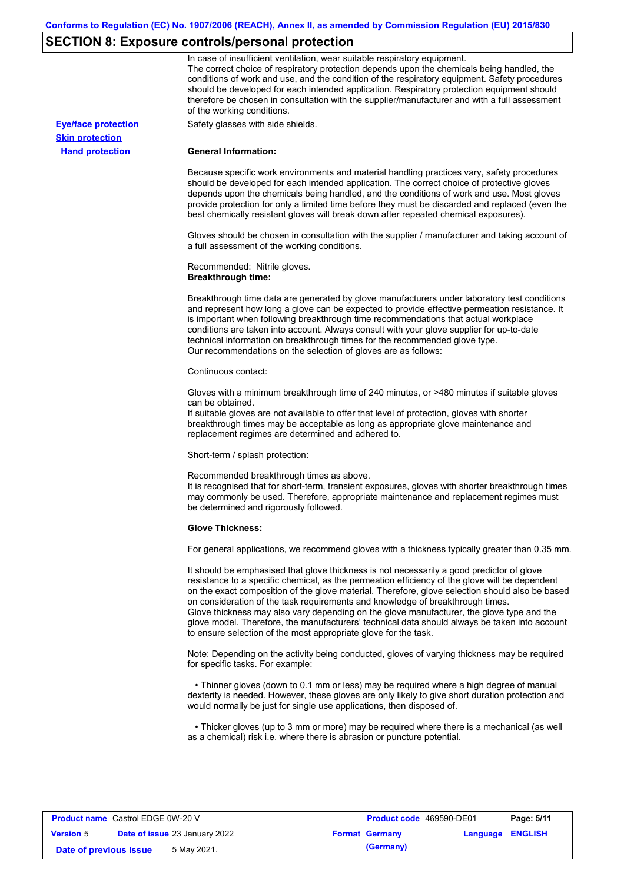# **SECTION 8: Exposure controls/personal protection**

|                            | In case of insufficient ventilation, wear suitable respiratory equipment.<br>The correct choice of respiratory protection depends upon the chemicals being handled, the<br>conditions of work and use, and the condition of the respiratory equipment. Safety procedures<br>should be developed for each intended application. Respiratory protection equipment should<br>therefore be chosen in consultation with the supplier/manufacturer and with a full assessment<br>of the working conditions.                                                                                                                                             |
|----------------------------|---------------------------------------------------------------------------------------------------------------------------------------------------------------------------------------------------------------------------------------------------------------------------------------------------------------------------------------------------------------------------------------------------------------------------------------------------------------------------------------------------------------------------------------------------------------------------------------------------------------------------------------------------|
| <b>Eye/face protection</b> | Safety glasses with side shields.                                                                                                                                                                                                                                                                                                                                                                                                                                                                                                                                                                                                                 |
| <b>Skin protection</b>     |                                                                                                                                                                                                                                                                                                                                                                                                                                                                                                                                                                                                                                                   |
| <b>Hand protection</b>     | <b>General Information:</b>                                                                                                                                                                                                                                                                                                                                                                                                                                                                                                                                                                                                                       |
|                            | Because specific work environments and material handling practices vary, safety procedures<br>should be developed for each intended application. The correct choice of protective gloves<br>depends upon the chemicals being handled, and the conditions of work and use. Most gloves<br>provide protection for only a limited time before they must be discarded and replaced (even the<br>best chemically resistant gloves will break down after repeated chemical exposures).                                                                                                                                                                  |
|                            | Gloves should be chosen in consultation with the supplier / manufacturer and taking account of<br>a full assessment of the working conditions.                                                                                                                                                                                                                                                                                                                                                                                                                                                                                                    |
|                            | Recommended: Nitrile gloves.<br><b>Breakthrough time:</b>                                                                                                                                                                                                                                                                                                                                                                                                                                                                                                                                                                                         |
|                            | Breakthrough time data are generated by glove manufacturers under laboratory test conditions<br>and represent how long a glove can be expected to provide effective permeation resistance. It<br>is important when following breakthrough time recommendations that actual workplace<br>conditions are taken into account. Always consult with your glove supplier for up-to-date<br>technical information on breakthrough times for the recommended glove type.<br>Our recommendations on the selection of gloves are as follows:                                                                                                                |
|                            | Continuous contact:                                                                                                                                                                                                                                                                                                                                                                                                                                                                                                                                                                                                                               |
|                            | Gloves with a minimum breakthrough time of 240 minutes, or >480 minutes if suitable gloves<br>can be obtained.<br>If suitable gloves are not available to offer that level of protection, gloves with shorter<br>breakthrough times may be acceptable as long as appropriate glove maintenance and                                                                                                                                                                                                                                                                                                                                                |
|                            | replacement regimes are determined and adhered to.                                                                                                                                                                                                                                                                                                                                                                                                                                                                                                                                                                                                |
|                            | Short-term / splash protection:                                                                                                                                                                                                                                                                                                                                                                                                                                                                                                                                                                                                                   |
|                            | Recommended breakthrough times as above.<br>It is recognised that for short-term, transient exposures, gloves with shorter breakthrough times<br>may commonly be used. Therefore, appropriate maintenance and replacement regimes must<br>be determined and rigorously followed.                                                                                                                                                                                                                                                                                                                                                                  |
|                            | <b>Glove Thickness:</b>                                                                                                                                                                                                                                                                                                                                                                                                                                                                                                                                                                                                                           |
|                            | For general applications, we recommend gloves with a thickness typically greater than 0.35 mm.                                                                                                                                                                                                                                                                                                                                                                                                                                                                                                                                                    |
|                            | It should be emphasised that glove thickness is not necessarily a good predictor of glove<br>resistance to a specific chemical, as the permeation efficiency of the glove will be dependent<br>on the exact composition of the glove material. Therefore, glove selection should also be based<br>on consideration of the task requirements and knowledge of breakthrough times.<br>Glove thickness may also vary depending on the glove manufacturer, the glove type and the<br>glove model. Therefore, the manufacturers' technical data should always be taken into account<br>to ensure selection of the most appropriate glove for the task. |
|                            | Note: Depending on the activity being conducted, gloves of varying thickness may be required<br>for specific tasks. For example:                                                                                                                                                                                                                                                                                                                                                                                                                                                                                                                  |
|                            | • Thinner gloves (down to 0.1 mm or less) may be required where a high degree of manual<br>dexterity is needed. However, these gloves are only likely to give short duration protection and<br>would normally be just for single use applications, then disposed of.                                                                                                                                                                                                                                                                                                                                                                              |
|                            | • Thicker gloves (up to 3 mm or more) may be required where there is a mechanical (as well<br>as a chemical) risk i.e. where there is abrasion or puncture potential.                                                                                                                                                                                                                                                                                                                                                                                                                                                                             |

| <b>Product name</b> Castrol EDGE 0W-20 V |  |                                      | <b>Product code</b> 469590-DE01 |                         | Page: 5/11 |
|------------------------------------------|--|--------------------------------------|---------------------------------|-------------------------|------------|
| <b>Version 5</b>                         |  | <b>Date of issue 23 January 2022</b> | <b>Format Germany</b>           | <b>Language ENGLISH</b> |            |
| Date of previous issue                   |  | 5 May 2021.                          | (Germany)                       |                         |            |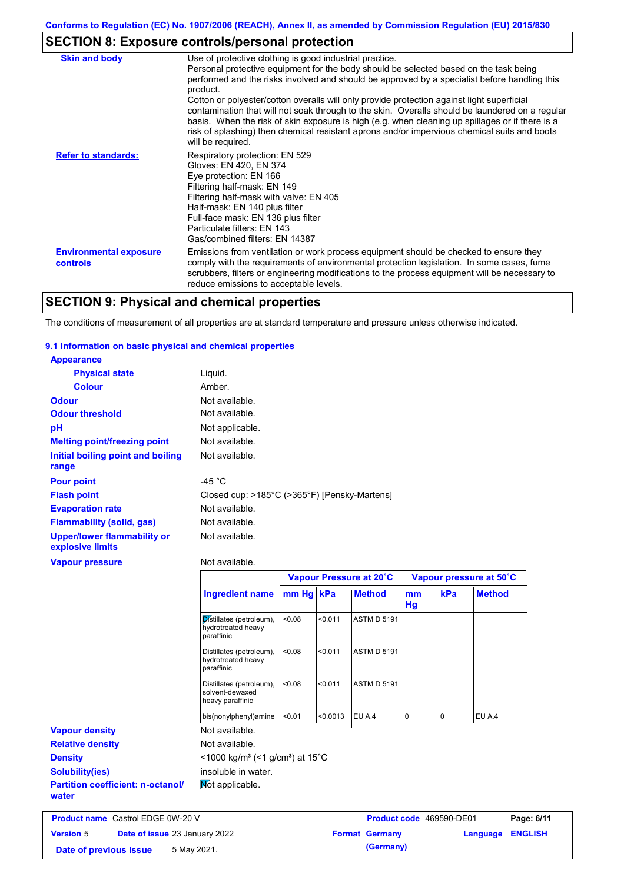# **SECTION 8: Exposure controls/personal protection**

| <b>Skin and body</b>                             | Use of protective clothing is good industrial practice.<br>Personal protective equipment for the body should be selected based on the task being<br>performed and the risks involved and should be approved by a specialist before handling this<br>product.<br>Cotton or polyester/cotton overalls will only provide protection against light superficial<br>contamination that will not soak through to the skin. Overalls should be laundered on a regular<br>basis. When the risk of skin exposure is high (e.g. when cleaning up spillages or if there is a<br>risk of splashing) then chemical resistant aprons and/or impervious chemical suits and boots<br>will be required. |
|--------------------------------------------------|---------------------------------------------------------------------------------------------------------------------------------------------------------------------------------------------------------------------------------------------------------------------------------------------------------------------------------------------------------------------------------------------------------------------------------------------------------------------------------------------------------------------------------------------------------------------------------------------------------------------------------------------------------------------------------------|
| <b>Refer to standards:</b>                       | Respiratory protection: EN 529<br>Gloves: EN 420, EN 374<br>Eye protection: EN 166<br>Filtering half-mask: EN 149<br>Filtering half-mask with valve: EN 405<br>Half-mask: EN 140 plus filter<br>Full-face mask: EN 136 plus filter<br>Particulate filters: EN 143<br>Gas/combined filters: EN 14387                                                                                                                                                                                                                                                                                                                                                                                   |
| <b>Environmental exposure</b><br><b>controls</b> | Emissions from ventilation or work process equipment should be checked to ensure they<br>comply with the requirements of environmental protection legislation. In some cases, fume<br>scrubbers, filters or engineering modifications to the process equipment will be necessary to<br>reduce emissions to acceptable levels.                                                                                                                                                                                                                                                                                                                                                         |

# **SECTION 9: Physical and chemical properties**

The conditions of measurement of all properties are at standard temperature and pressure unless otherwise indicated.

### **9.1 Information on basic physical and chemical properties**

| <b>Appearance</b>                                      |                                              |
|--------------------------------------------------------|----------------------------------------------|
| <b>Physical state</b>                                  | Liquid.                                      |
| <b>Colour</b>                                          | Amber.                                       |
| <b>Odour</b>                                           | Not available.                               |
| <b>Odour threshold</b>                                 | Not available.                               |
| pH                                                     | Not applicable.                              |
| <b>Melting point/freezing point</b>                    | Not available.                               |
| Initial boiling point and boiling<br>range             | Not available.                               |
| <b>Pour point</b>                                      | -45 °C                                       |
| <b>Flash point</b>                                     | Closed cup: >185°C (>365°F) [Pensky-Martens] |
| <b>Evaporation rate</b>                                | Not available.                               |
| <b>Flammability (solid, gas)</b>                       | Not available.                               |
| <b>Upper/lower flammability or</b><br>explosive limits | Not available.                               |
| <b>Vapour pressure</b>                                 | Not available.                               |
|                                                        | Vapour Pressure at 20°C                      |
|                                                        | $\mathbf{I}$                                 |

|                                                   |                                                                                                                     | Vapour Pressure at 20°C |          |                                 | Vapour pressure at 50°C |     |               |
|---------------------------------------------------|---------------------------------------------------------------------------------------------------------------------|-------------------------|----------|---------------------------------|-------------------------|-----|---------------|
|                                                   | Ingredient name                                                                                                     | mm Hg kPa               |          | <b>Method</b>                   | mm<br>Hg                | kPa | <b>Method</b> |
|                                                   | Distillates (petroleum),<br>hydrotreated heavy<br>paraffinic                                                        | < 0.08                  | < 0.011  | <b>ASTM D 5191</b>              |                         |     |               |
|                                                   | Distillates (petroleum),<br>hydrotreated heavy<br>paraffinic                                                        | < 0.08                  | < 0.011  | <b>ASTM D 5191</b>              |                         |     |               |
|                                                   | Distillates (petroleum),<br>solvent-dewaxed<br>heavy paraffinic                                                     | < 0.08                  | < 0.011  | <b>ASTM D 5191</b>              |                         |     |               |
|                                                   | bis(nonylphenyl)amine                                                                                               | < 0.01                  | < 0.0013 | EU A.4                          | 0                       | 10  | EU A.4        |
| <b>Vapour density</b>                             | Not available.                                                                                                      |                         |          |                                 |                         |     |               |
| <b>Relative density</b>                           | Not available.<br>$\leq$ 1000 kg/m <sup>3</sup> (<1 g/cm <sup>3</sup> ) at 15 <sup>°</sup> C<br>insoluble in water. |                         |          |                                 |                         |     |               |
| <b>Density</b>                                    |                                                                                                                     |                         |          |                                 |                         |     |               |
| <b>Solubility(ies)</b>                            |                                                                                                                     |                         |          |                                 |                         |     |               |
| <b>Partition coefficient: n-octanol/</b><br>water | Mot applicable.                                                                                                     |                         |          |                                 |                         |     |               |
| <b>Product name Castrol EDGE 0W-20 V</b>          |                                                                                                                     |                         |          | <b>Product code</b> 469590-DE01 |                         |     | Page: 6/11    |

| <b>Product name</b> Castrol EDGE 0W-20 V |                                      | Product code 469590-DE01 |                         | Page: 6/11 |
|------------------------------------------|--------------------------------------|--------------------------|-------------------------|------------|
| <b>Version</b> 5                         | <b>Date of issue 23 January 2022</b> | <b>Format Germany</b>    | <b>Language ENGLISH</b> |            |
| Date of previous issue                   | 5 May 2021.                          | (Germany)                |                         |            |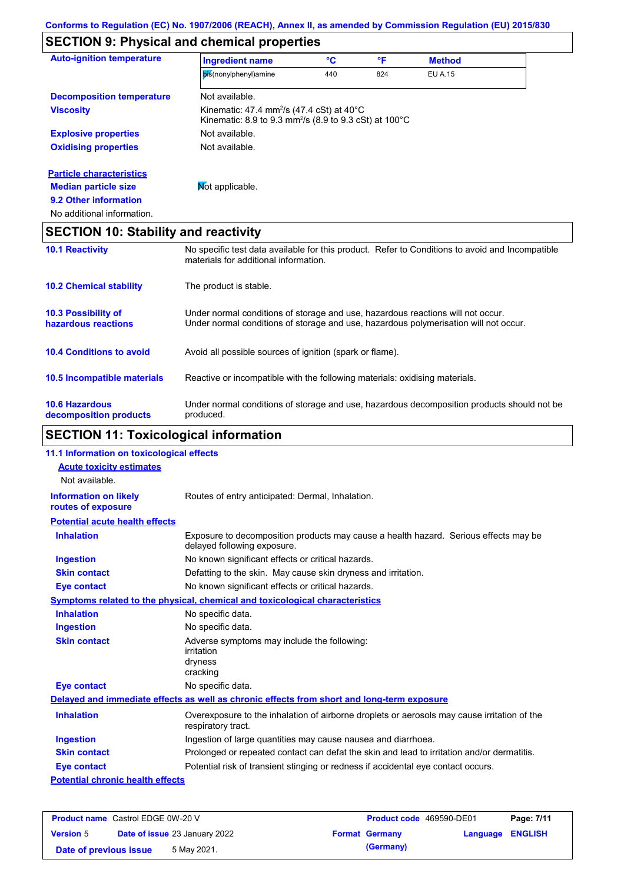## **SECTION 9: Physical and chemical properties**

| <b>Auto-ignition temperature</b>                | <b>Ingredient name</b>                                                                                                                                                  | °C  | °F  | <b>Method</b>  |  |
|-------------------------------------------------|-------------------------------------------------------------------------------------------------------------------------------------------------------------------------|-----|-----|----------------|--|
|                                                 | bis(nonylphenyl)amine                                                                                                                                                   | 440 | 824 | <b>EU A.15</b> |  |
| <b>Decomposition temperature</b>                | Not available.                                                                                                                                                          |     |     |                |  |
| <b>Viscosity</b>                                | Kinematic: 47.4 mm <sup>2</sup> /s (47.4 cSt) at 40 $\degree$ C<br>Kinematic: 8.9 to 9.3 mm <sup>2</sup> /s (8.9 to 9.3 cSt) at 100 $^{\circ}$ C                        |     |     |                |  |
| <b>Explosive properties</b>                     | Not available.                                                                                                                                                          |     |     |                |  |
| <b>Oxidising properties</b>                     | Not available.                                                                                                                                                          |     |     |                |  |
| <b>Particle characteristics</b>                 |                                                                                                                                                                         |     |     |                |  |
| <b>Median particle size</b>                     | Mot applicable.                                                                                                                                                         |     |     |                |  |
| 9.2 Other information                           |                                                                                                                                                                         |     |     |                |  |
| No additional information.                      |                                                                                                                                                                         |     |     |                |  |
| <b>SECTION 10: Stability and reactivity</b>     |                                                                                                                                                                         |     |     |                |  |
| <b>10.1 Reactivity</b>                          | No specific test data available for this product. Refer to Conditions to avoid and Incompatible<br>materials for additional information.                                |     |     |                |  |
| <b>10.2 Chemical stability</b>                  | The product is stable.                                                                                                                                                  |     |     |                |  |
| 10.3 Possibility of<br>hazardous reactions      | Under normal conditions of storage and use, hazardous reactions will not occur.<br>Under normal conditions of storage and use, hazardous polymerisation will not occur. |     |     |                |  |
| <b>10.4 Conditions to avoid</b>                 | Avoid all possible sources of ignition (spark or flame).                                                                                                                |     |     |                |  |
| 10.5 Incompatible materials                     | Reactive or incompatible with the following materials: oxidising materials.                                                                                             |     |     |                |  |
| <b>10.6 Hazardous</b><br>decomposition products | Under normal conditions of storage and use, hazardous decomposition products should not be<br>produced.                                                                 |     |     |                |  |

# **SECTION 11: Toxicological information**

| 11.1 Information on toxicological effects          |                                                                                                                     |
|----------------------------------------------------|---------------------------------------------------------------------------------------------------------------------|
| <b>Acute toxicity estimates</b>                    |                                                                                                                     |
| Not available.                                     |                                                                                                                     |
| <b>Information on likely</b><br>routes of exposure | Routes of entry anticipated: Dermal, Inhalation.                                                                    |
| <b>Potential acute health effects</b>              |                                                                                                                     |
| <b>Inhalation</b>                                  | Exposure to decomposition products may cause a health hazard. Serious effects may be<br>delayed following exposure. |
| <b>Ingestion</b>                                   | No known significant effects or critical hazards.                                                                   |
| <b>Skin contact</b>                                | Defatting to the skin. May cause skin dryness and irritation.                                                       |
| <b>Eye contact</b>                                 | No known significant effects or critical hazards.                                                                   |
|                                                    | Symptoms related to the physical, chemical and toxicological characteristics                                        |
| <b>Inhalation</b>                                  | No specific data.                                                                                                   |
| <b>Ingestion</b>                                   | No specific data.                                                                                                   |
| <b>Skin contact</b>                                | Adverse symptoms may include the following:<br>irritation<br>dryness<br>cracking                                    |
| <b>Eye contact</b>                                 | No specific data.                                                                                                   |
|                                                    | Delayed and immediate effects as well as chronic effects from short and long-term exposure                          |
| <b>Inhalation</b>                                  | Overexposure to the inhalation of airborne droplets or aerosols may cause irritation of the<br>respiratory tract.   |
| <b>Ingestion</b>                                   | Ingestion of large quantities may cause nausea and diarrhoea.                                                       |
| <b>Skin contact</b>                                | Prolonged or repeated contact can defat the skin and lead to irritation and/or dermatitis.                          |
| <b>Eye contact</b>                                 | Potential risk of transient stinging or redness if accidental eye contact occurs.                                   |
| <b>Potential chronic health effects</b>            |                                                                                                                     |
|                                                    |                                                                                                                     |

| <b>Product name</b> Castrol EDGE 0W-20 V |  |                                      | <b>Product code</b> 469590-DE01 |                  | Page: 7/11 |
|------------------------------------------|--|--------------------------------------|---------------------------------|------------------|------------|
| <b>Version 5</b>                         |  | <b>Date of issue 23 January 2022</b> | <b>Format Germany</b>           | Language ENGLISH |            |
| Date of previous issue                   |  | 5 May 2021.                          | (Germany)                       |                  |            |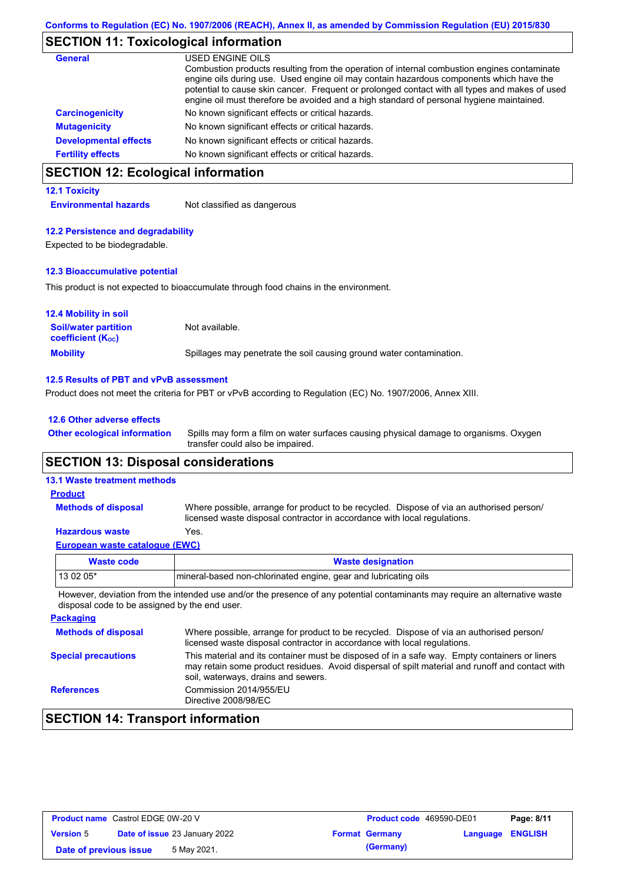# **SECTION 11: Toxicological information**

| <b>General</b>               | USED ENGINE OILS<br>Combustion products resulting from the operation of internal combustion engines contaminate<br>engine oils during use. Used engine oil may contain hazardous components which have the<br>potential to cause skin cancer. Frequent or prolonged contact with all types and makes of used<br>engine oil must therefore be avoided and a high standard of personal hygiene maintained. |
|------------------------------|----------------------------------------------------------------------------------------------------------------------------------------------------------------------------------------------------------------------------------------------------------------------------------------------------------------------------------------------------------------------------------------------------------|
| <b>Carcinogenicity</b>       | No known significant effects or critical hazards.                                                                                                                                                                                                                                                                                                                                                        |
| <b>Mutagenicity</b>          | No known significant effects or critical hazards.                                                                                                                                                                                                                                                                                                                                                        |
| <b>Developmental effects</b> | No known significant effects or critical hazards.                                                                                                                                                                                                                                                                                                                                                        |
| <b>Fertility effects</b>     | No known significant effects or critical hazards.                                                                                                                                                                                                                                                                                                                                                        |

## **SECTION 12: Ecological information**

### **12.1 Toxicity**

**Environmental hazards** Not classified as dangerous

### **12.2 Persistence and degradability**

Expected to be biodegradable.

### **12.3 Bioaccumulative potential**

This product is not expected to bioaccumulate through food chains in the environment.

| <b>12.4 Mobility in soil</b>                            |                                                                      |
|---------------------------------------------------------|----------------------------------------------------------------------|
| <b>Soil/water partition</b><br><b>coefficient (Koc)</b> | Not available.                                                       |
| <b>Mobility</b>                                         | Spillages may penetrate the soil causing ground water contamination. |

#### **12.5 Results of PBT and vPvB assessment**

Product does not meet the criteria for PBT or vPvB according to Regulation (EC) No. 1907/2006, Annex XIII.

| 12.6 Other adverse effects          |                     |
|-------------------------------------|---------------------|
| <b>Other ecological information</b> | Spills may form a f |

Spills may form a film on water surfaces causing physical damage to organisms. Oxygen transfer could also be impaired.

## **SECTION 13: Disposal considerations**

### **13.1 Waste treatment methods**

**Methods of disposal**

**Product**

Where possible, arrange for product to be recycled. Dispose of via an authorised person/ licensed waste disposal contractor in accordance with local regulations.

### **Hazardous waste** Yes.

|--|

| Waste code                                                                                                                            | <b>Waste designation</b>                                         |  |  |  |
|---------------------------------------------------------------------------------------------------------------------------------------|------------------------------------------------------------------|--|--|--|
| $130205*$                                                                                                                             | Imineral-based non-chlorinated engine, gear and lubricating oils |  |  |  |
| Thermonical collection forms their between the started to a management and contracted the modern constant and allowed their constants |                                                                  |  |  |  |

However, deviation from the intended use and/or the presence of any potential contaminants may require an alternative waste disposal code to be assigned by the end user.

| <b>Packaging</b>           |                                                                                                                                                                                                                                         |
|----------------------------|-----------------------------------------------------------------------------------------------------------------------------------------------------------------------------------------------------------------------------------------|
| <b>Methods of disposal</b> | Where possible, arrange for product to be recycled. Dispose of via an authorised person/<br>licensed waste disposal contractor in accordance with local regulations.                                                                    |
| <b>Special precautions</b> | This material and its container must be disposed of in a safe way. Empty containers or liners<br>may retain some product residues. Avoid dispersal of spilt material and runoff and contact with<br>soil, waterways, drains and sewers. |
| <b>References</b>          | Commission 2014/955/EU<br>Directive 2008/98/EC                                                                                                                                                                                          |

## **SECTION 14: Transport information**

| <b>Product name</b> Castrol EDGE 0W-20 V |                                      |  | <b>Product code</b> 469590-DE01 | Page: 8/11              |  |
|------------------------------------------|--------------------------------------|--|---------------------------------|-------------------------|--|
| <b>Version 5</b>                         | <b>Date of issue 23 January 2022</b> |  | <b>Format Germany</b>           | <b>Language ENGLISH</b> |  |
| Date of previous issue                   | 5 May 2021.                          |  | (Germany)                       |                         |  |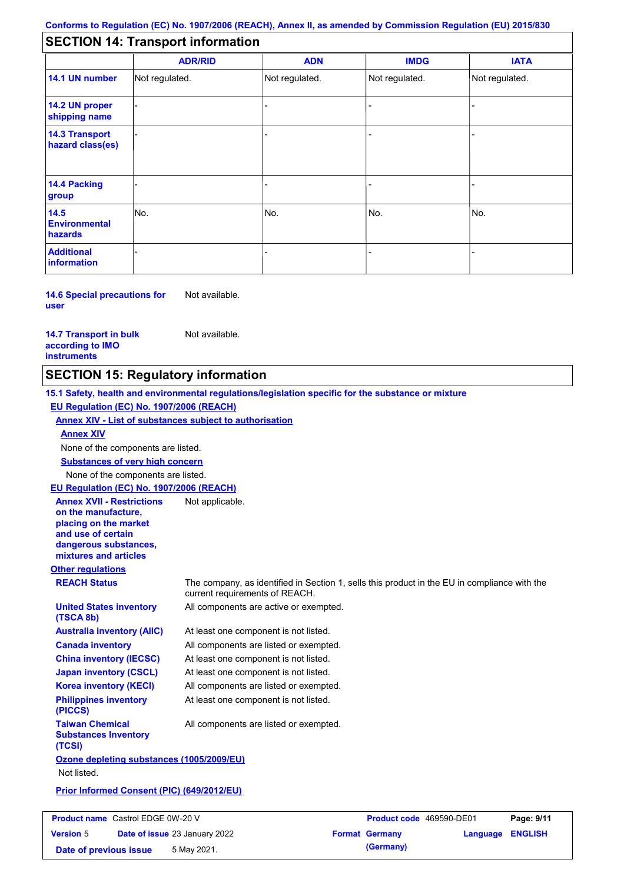## **SECTION 14: Transport information**

|                                           | <b>ADR/RID</b> | <b>ADN</b>     | <b>IMDG</b>    | <b>IATA</b>    |
|-------------------------------------------|----------------|----------------|----------------|----------------|
| 14.1 UN number                            | Not regulated. | Not regulated. | Not regulated. | Not regulated. |
| 14.2 UN proper<br>shipping name           |                |                |                |                |
| <b>14.3 Transport</b><br>hazard class(es) |                |                |                |                |
| 14.4 Packing<br>group                     |                |                |                |                |
| 14.5<br><b>Environmental</b><br>hazards   | No.            | No.            | No.            | No.            |
| <b>Additional</b><br>information          |                |                |                |                |

**14.6 Special precautions for user** Not available.

**14.7 Transport in bulk according to IMO instruments**

Not available.

## **SECTION 15: Regulatory information**

**Other regulations REACH Status** The company, as identified in Section 1, sells this product in the EU in compliance with the current requirements of REACH. **15.1 Safety, health and environmental regulations/legislation specific for the substance or mixture EU Regulation (EC) No. 1907/2006 (REACH) Annex XIV - List of substances subject to authorisation Substances of very high concern** None of the components are listed. At least one component is not listed. All components are listed or exempted. At least one component is not listed. At least one component is not listed. All components are active or exempted. All components are listed or exempted. At least one component is not listed. **United States inventory (TSCA 8b) Australia inventory (AIIC) Canada inventory China inventory (IECSC) Japan inventory (CSCL) Korea inventory (KECI) Philippines inventory (PICCS) Taiwan Chemical Substances Inventory (TCSI)** All components are listed or exempted. **Ozone depleting substances (1005/2009/EU)** Not listed. **Prior Informed Consent (PIC) (649/2012/EU)** None of the components are listed. **Annex XIV EU Regulation (EC) No. 1907/2006 (REACH) Annex XVII - Restrictions on the manufacture, placing on the market and use of certain dangerous substances, mixtures and articles** Not applicable.

| <b>Product name</b> Castrol EDGE 0W-20 V |  |                                      | <b>Product code</b> 469590-DE01 |                         | Page: 9/11 |
|------------------------------------------|--|--------------------------------------|---------------------------------|-------------------------|------------|
| <b>Version 5</b>                         |  | <b>Date of issue 23 January 2022</b> | <b>Format Germany</b>           | <b>Language ENGLISH</b> |            |
| Date of previous issue                   |  | 5 May 2021.                          | (Germany)                       |                         |            |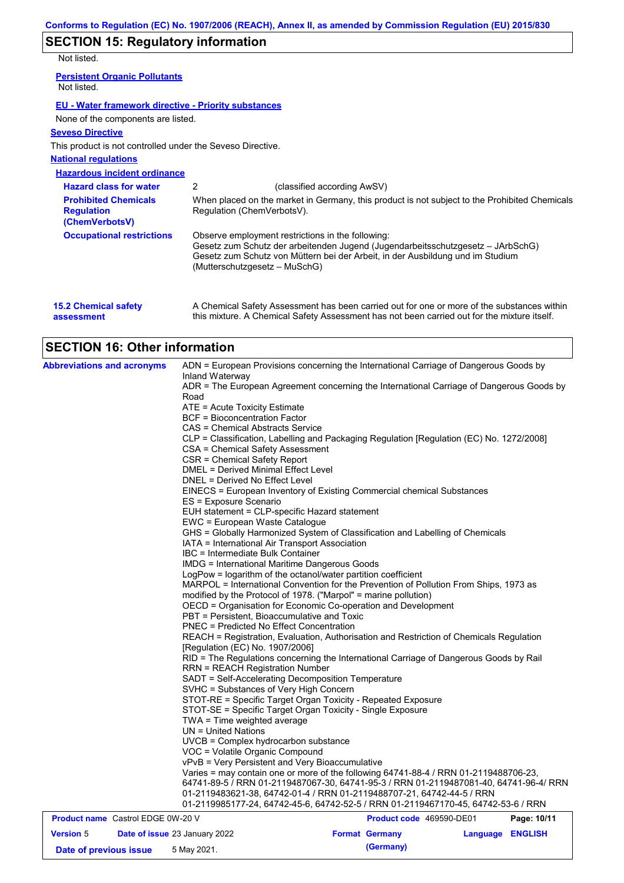## **SECTION 15: Regulatory information**

Not listed.

| <b>Persistent Organic Pollutants</b><br>Not listed.        |   |                                                       |
|------------------------------------------------------------|---|-------------------------------------------------------|
| EU - Water framework directive - Priority substances       |   |                                                       |
| None of the components are listed.                         |   |                                                       |
| <b>Seveso Directive</b>                                    |   |                                                       |
| This product is not controlled under the Seveso Directive. |   |                                                       |
| <b>National regulations</b>                                |   |                                                       |
| <b>Hazardous incident ordinance</b>                        |   |                                                       |
| <b>Hazard class for water</b>                              | 2 | (classified according AwSV)                           |
| <b>Deabibited Chamicala</b>                                |   | When placed on the merket in Cermany, this product is |

| <b>Prohibited Chemicals</b><br><b>Regulation</b><br>(ChemVerbotsV) | When placed on the market in Germany, this product is not subject to the Prohibited Chemicals<br>Regulation (ChemVerbotsV).                                                                                                                             |
|--------------------------------------------------------------------|---------------------------------------------------------------------------------------------------------------------------------------------------------------------------------------------------------------------------------------------------------|
| <b>Occupational restrictions</b>                                   | Observe employment restrictions in the following:<br>Gesetz zum Schutz der arbeitenden Jugend (Jugendarbeitsschutzgesetz – JArbSchG)<br>Gesetz zum Schutz von Müttern bei der Arbeit, in der Ausbildung und im Studium<br>(Mutterschutzgesetz – MuSchG) |

| <b>15.2 Chemical safety</b> | A Chemical Safety Assessment has been carried out for one or more of the substances within  |
|-----------------------------|---------------------------------------------------------------------------------------------|
| assessment                  | this mixture. A Chemical Safety Assessment has not been carried out for the mixture itself. |

# **SECTION 16: Other information**

| <b>Abbreviations and acronyms</b>        | ADN = European Provisions concerning the International Carriage of Dangerous Goods by<br>Inland Waterway<br>ADR = The European Agreement concerning the International Carriage of Dangerous Goods by                                                                                                                                |                                                                       |  |  |  |  |  |
|------------------------------------------|-------------------------------------------------------------------------------------------------------------------------------------------------------------------------------------------------------------------------------------------------------------------------------------------------------------------------------------|-----------------------------------------------------------------------|--|--|--|--|--|
|                                          | Road                                                                                                                                                                                                                                                                                                                                |                                                                       |  |  |  |  |  |
|                                          | ATE = Acute Toxicity Estimate                                                                                                                                                                                                                                                                                                       |                                                                       |  |  |  |  |  |
|                                          | <b>BCF</b> = Bioconcentration Factor                                                                                                                                                                                                                                                                                                |                                                                       |  |  |  |  |  |
|                                          | CAS = Chemical Abstracts Service                                                                                                                                                                                                                                                                                                    |                                                                       |  |  |  |  |  |
|                                          | CLP = Classification, Labelling and Packaging Regulation [Regulation (EC) No. 1272/2008]                                                                                                                                                                                                                                            |                                                                       |  |  |  |  |  |
|                                          | CSA = Chemical Safety Assessment                                                                                                                                                                                                                                                                                                    |                                                                       |  |  |  |  |  |
|                                          | CSR = Chemical Safety Report                                                                                                                                                                                                                                                                                                        |                                                                       |  |  |  |  |  |
|                                          | DMEL = Derived Minimal Effect Level                                                                                                                                                                                                                                                                                                 |                                                                       |  |  |  |  |  |
|                                          | DNEL = Derived No Effect Level                                                                                                                                                                                                                                                                                                      |                                                                       |  |  |  |  |  |
|                                          | EINECS = European Inventory of Existing Commercial chemical Substances                                                                                                                                                                                                                                                              |                                                                       |  |  |  |  |  |
|                                          | ES = Exposure Scenario                                                                                                                                                                                                                                                                                                              |                                                                       |  |  |  |  |  |
|                                          | EUH statement = CLP-specific Hazard statement                                                                                                                                                                                                                                                                                       |                                                                       |  |  |  |  |  |
|                                          | EWC = European Waste Catalogue                                                                                                                                                                                                                                                                                                      |                                                                       |  |  |  |  |  |
|                                          | GHS = Globally Harmonized System of Classification and Labelling of Chemicals                                                                                                                                                                                                                                                       |                                                                       |  |  |  |  |  |
|                                          | IATA = International Air Transport Association<br>IBC = Intermediate Bulk Container                                                                                                                                                                                                                                                 |                                                                       |  |  |  |  |  |
|                                          | <b>IMDG</b> = International Maritime Dangerous Goods                                                                                                                                                                                                                                                                                |                                                                       |  |  |  |  |  |
|                                          | LogPow = logarithm of the octanol/water partition coefficient                                                                                                                                                                                                                                                                       |                                                                       |  |  |  |  |  |
|                                          | MARPOL = International Convention for the Prevention of Pollution From Ships, 1973 as                                                                                                                                                                                                                                               |                                                                       |  |  |  |  |  |
|                                          | modified by the Protocol of 1978. ("Marpol" = marine pollution)                                                                                                                                                                                                                                                                     |                                                                       |  |  |  |  |  |
|                                          | OECD = Organisation for Economic Co-operation and Development                                                                                                                                                                                                                                                                       |                                                                       |  |  |  |  |  |
|                                          | PBT = Persistent, Bioaccumulative and Toxic<br>PNEC = Predicted No Effect Concentration                                                                                                                                                                                                                                             |                                                                       |  |  |  |  |  |
|                                          |                                                                                                                                                                                                                                                                                                                                     |                                                                       |  |  |  |  |  |
|                                          | REACH = Registration, Evaluation, Authorisation and Restriction of Chemicals Regulation                                                                                                                                                                                                                                             |                                                                       |  |  |  |  |  |
|                                          | [Regulation (EC) No. 1907/2006]<br>RID = The Regulations concerning the International Carriage of Dangerous Goods by Rail<br><b>RRN = REACH Registration Number</b><br>SADT = Self-Accelerating Decomposition Temperature<br>SVHC = Substances of Very High Concern<br>STOT-RE = Specific Target Organ Toxicity - Repeated Exposure |                                                                       |  |  |  |  |  |
|                                          |                                                                                                                                                                                                                                                                                                                                     |                                                                       |  |  |  |  |  |
|                                          |                                                                                                                                                                                                                                                                                                                                     |                                                                       |  |  |  |  |  |
|                                          |                                                                                                                                                                                                                                                                                                                                     |                                                                       |  |  |  |  |  |
|                                          |                                                                                                                                                                                                                                                                                                                                     |                                                                       |  |  |  |  |  |
|                                          |                                                                                                                                                                                                                                                                                                                                     |                                                                       |  |  |  |  |  |
|                                          | STOT-SE = Specific Target Organ Toxicity - Single Exposure                                                                                                                                                                                                                                                                          |                                                                       |  |  |  |  |  |
|                                          | TWA = Time weighted average                                                                                                                                                                                                                                                                                                         |                                                                       |  |  |  |  |  |
|                                          | $UN = United Nations$                                                                                                                                                                                                                                                                                                               |                                                                       |  |  |  |  |  |
|                                          | UVCB = Complex hydrocarbon substance                                                                                                                                                                                                                                                                                                |                                                                       |  |  |  |  |  |
|                                          | VOC = Volatile Organic Compound                                                                                                                                                                                                                                                                                                     |                                                                       |  |  |  |  |  |
|                                          | vPvB = Very Persistent and Very Bioaccumulative<br>Varies = may contain one or more of the following 64741-88-4 / RRN 01-2119488706-23,<br>64741-89-5 / RRN 01-2119487067-30, 64741-95-3 / RRN 01-2119487081-40, 64741-96-4/ RRN                                                                                                    |                                                                       |  |  |  |  |  |
|                                          |                                                                                                                                                                                                                                                                                                                                     |                                                                       |  |  |  |  |  |
|                                          |                                                                                                                                                                                                                                                                                                                                     | 01-2119483621-38, 64742-01-4 / RRN 01-2119488707-21, 64742-44-5 / RRN |  |  |  |  |  |
|                                          | 01-2119985177-24, 64742-45-6, 64742-52-5 / RRN 01-2119467170-45, 64742-53-6 / RRN                                                                                                                                                                                                                                                   |                                                                       |  |  |  |  |  |
| <b>Product name</b> Castrol EDGE 0W-20 V | Product code 469590-DE01                                                                                                                                                                                                                                                                                                            | Page: 10/11                                                           |  |  |  |  |  |
| <b>Version 5</b>                         | Date of issue 23 January 2022<br><b>Format Germany</b>                                                                                                                                                                                                                                                                              | Language ENGLISH                                                      |  |  |  |  |  |
| Date of previous issue                   | (Germany)<br>5 May 2021.                                                                                                                                                                                                                                                                                                            |                                                                       |  |  |  |  |  |